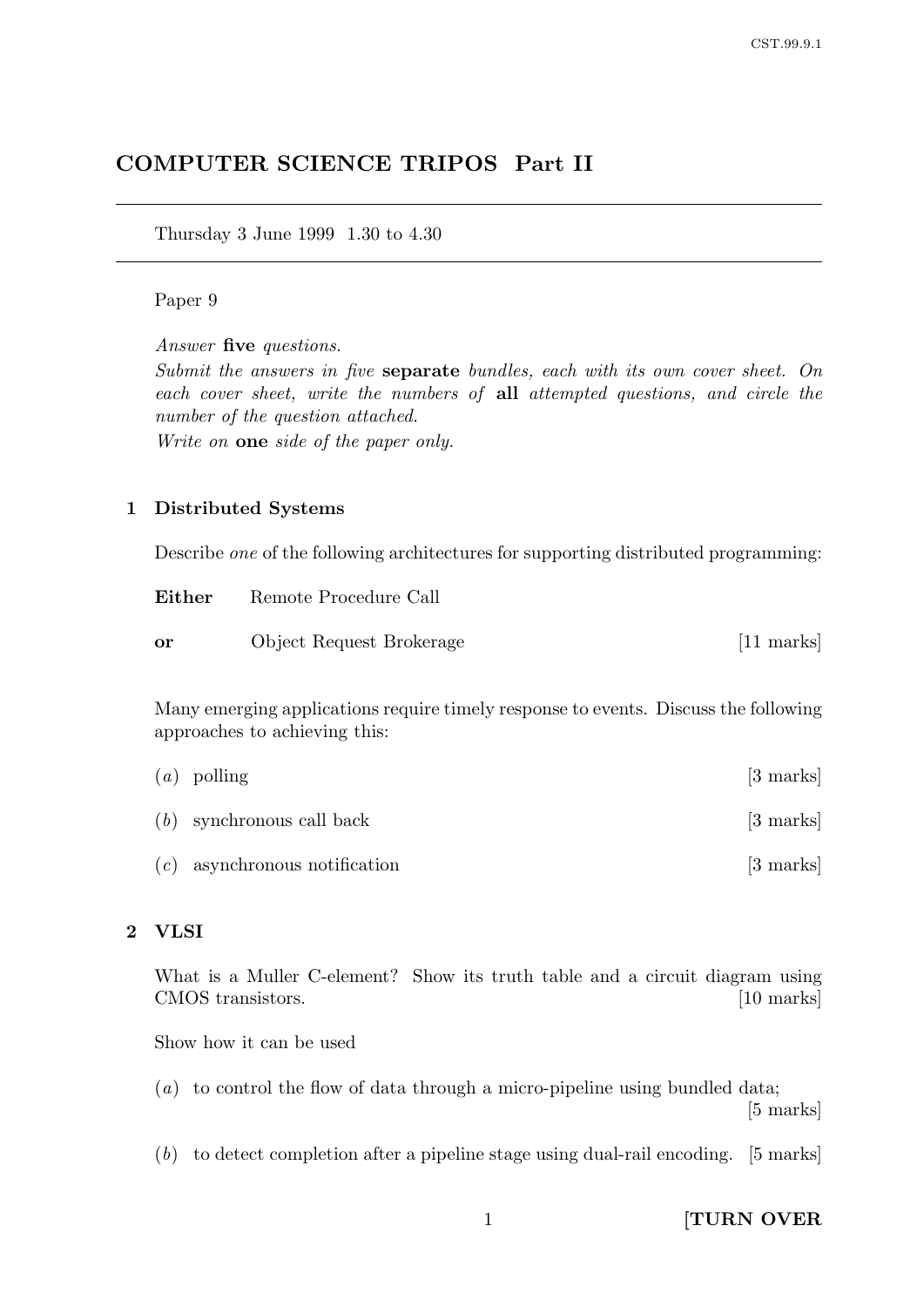# COMPUTER SCIENCE TRIPOS Part II

Thursday 3 June 1999 1.30 to 4.30

### Paper 9

Answer five questions.

Submit the answers in five separate bundles, each with its own cover sheet. On each cover sheet, write the numbers of all attempted questions, and circle the number of the question attached.

Write on **one** side of the paper only.

#### 1 Distributed Systems

Describe one of the following architectures for supporting distributed programming:

| Either    | Remote Procedure Call    |             |
|-----------|--------------------------|-------------|
| <b>or</b> | Object Request Brokerage | $[11$ marks |

Many emerging applications require timely response to events. Discuss the following approaches to achieving this:

| $(a)$ polling                   | [3 marks]                      |
|---------------------------------|--------------------------------|
| $(b)$ synchronous call back     | $\left[3 \text{ marks}\right]$ |
| $(c)$ asynchronous notification | [3 marks]                      |

### 2 VLSI

What is a Muller C-element? Show its truth table and a circuit diagram using CMOS transistors. [10 marks]

Show how it can be used

- (a) to control the flow of data through a micro-pipeline using bundled data; [5 marks]
- (b) to detect completion after a pipeline stage using dual-rail encoding. [5 marks]

1 **[TURN OVER**]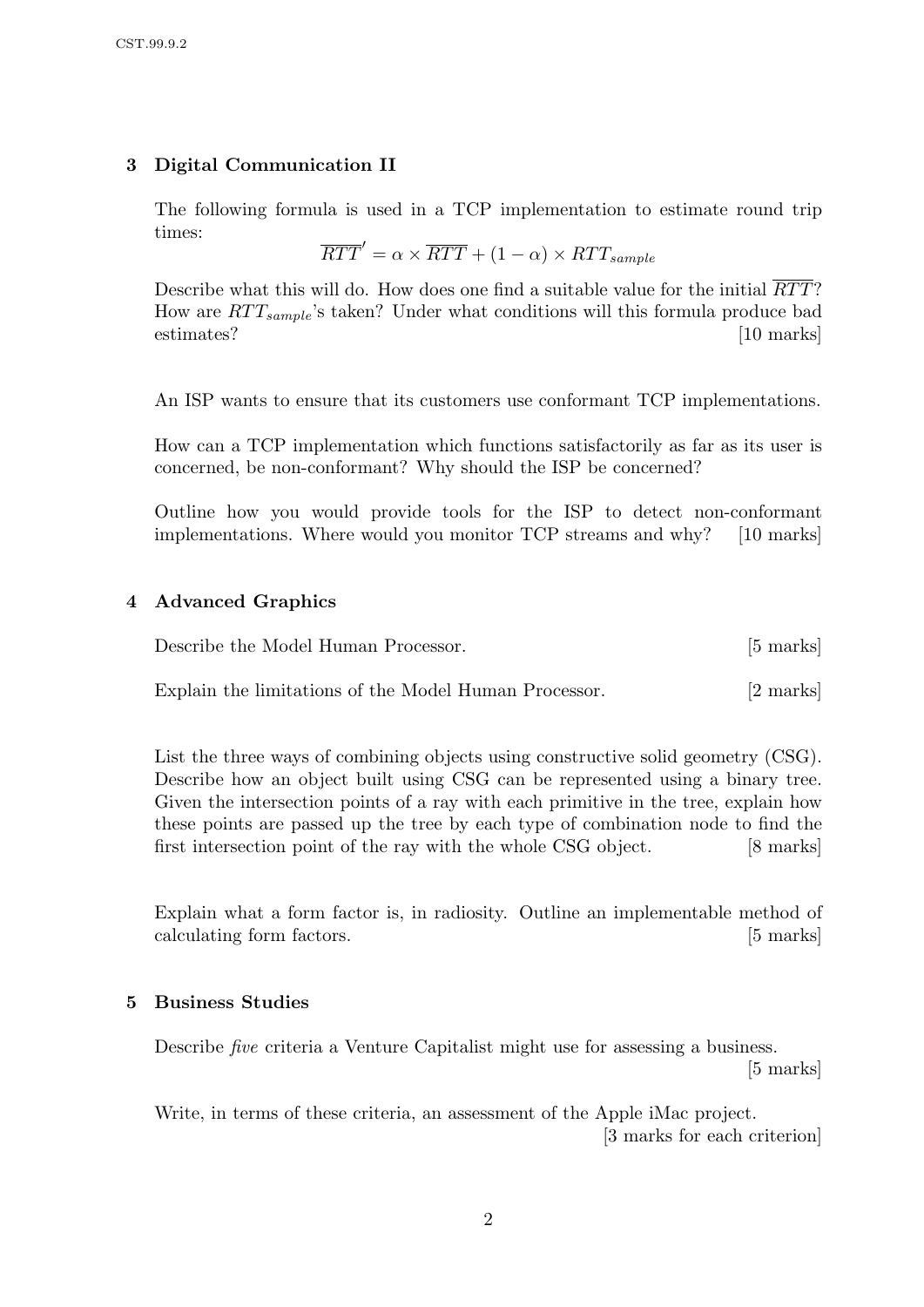# 3 Digital Communication II

The following formula is used in a TCP implementation to estimate round trip times:

$$
\overline{RTT}' = \alpha \times \overline{RTT} + (1 - \alpha) \times RTT_{sample}
$$

Describe what this will do. How does one find a suitable value for the initial  $\overline{RTT}$ ? How are  $RTT_{sample}$ 's taken? Under what conditions will this formula produce bad estimates? [10 marks]

An ISP wants to ensure that its customers use conformant TCP implementations.

How can a TCP implementation which functions satisfactorily as far as its user is concerned, be non-conformant? Why should the ISP be concerned?

Outline how you would provide tools for the ISP to detect non-conformant implementations. Where would you monitor TCP streams and why? [10 marks]

# 4 Advanced Graphics

| Describe the Model Human Processor.                   | $[5 \text{ marks}]$ |
|-------------------------------------------------------|---------------------|
| Explain the limitations of the Model Human Processor. | [2 marks]           |

List the three ways of combining objects using constructive solid geometry (CSG). Describe how an object built using CSG can be represented using a binary tree. Given the intersection points of a ray with each primitive in the tree, explain how these points are passed up the tree by each type of combination node to find the first intersection point of the ray with the whole CSG object. [8 marks]

Explain what a form factor is, in radiosity. Outline an implementable method of calculating form factors. [5 marks]

## 5 Business Studies

Describe five criteria a Venture Capitalist might use for assessing a business. [5 marks]

Write, in terms of these criteria, an assessment of the Apple iMac project. [3 marks for each criterion]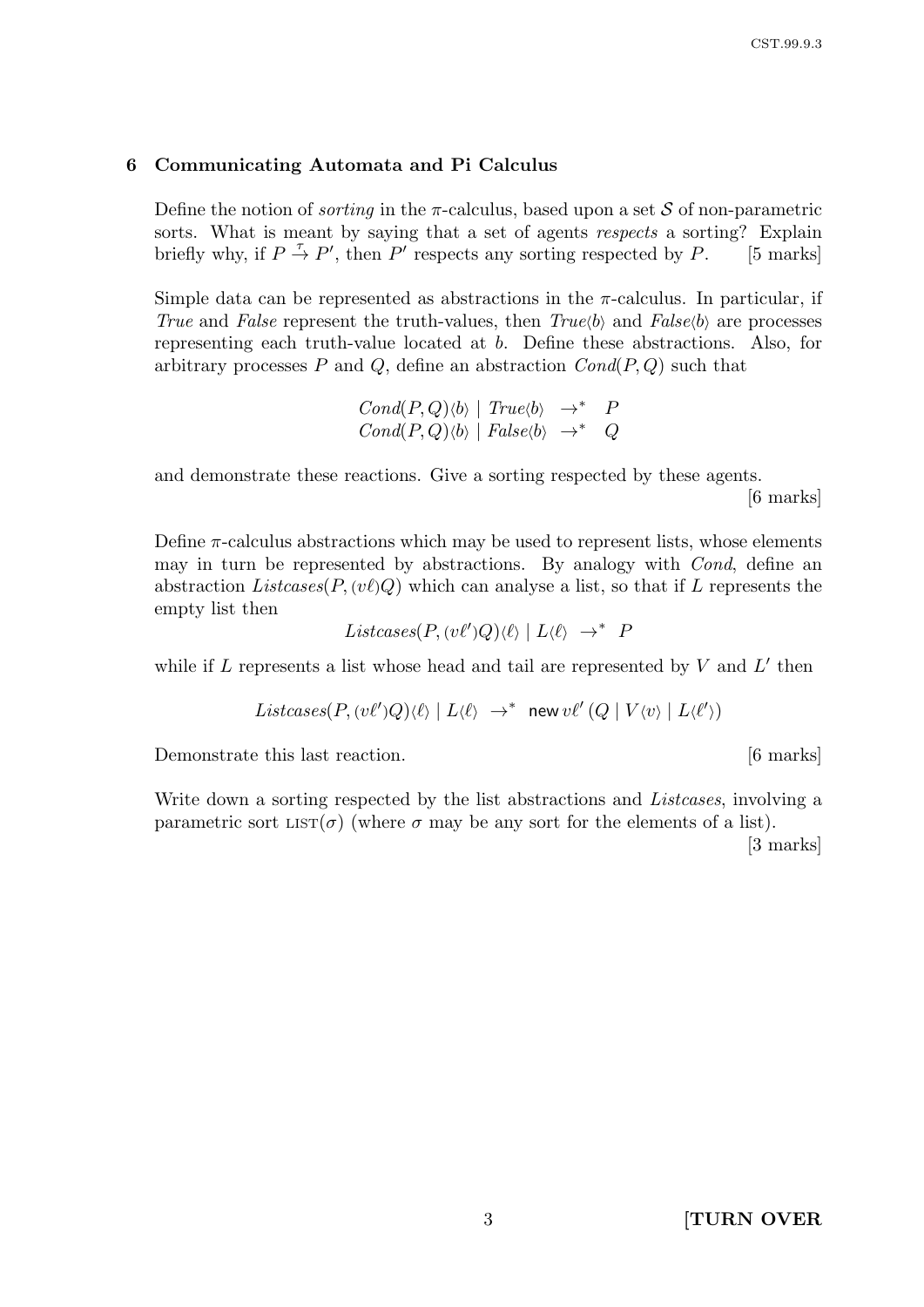#### 6 Communicating Automata and Pi Calculus

Define the notion of *sorting* in the  $\pi$ -calculus, based upon a set S of non-parametric sorts. What is meant by saying that a set of agents respects a sorting? Explain briefly why, if  $P \stackrel{\tau}{\rightarrow} P'$ , then P' respects any sorting respected by P. [5 marks]

Simple data can be represented as abstractions in the  $\pi$ -calculus. In particular, if True and False represent the truth-values, then  $True(b)$  and  $False(b)$  are processes representing each truth-value located at b. Define these abstractions. Also, for arbitrary processes P and Q, define an abstraction  $Cond(P,Q)$  such that

> $Cond(P,Q)\langle b\rangle$  |  $True\langle b\rangle \rightarrow^* P$  $Cond(P,Q)\langle b\rangle \mid False\langle b\rangle \rightarrow^* Q$

and demonstrate these reactions. Give a sorting respected by these agents.

[6 marks]

Define  $\pi$ -calculus abstractions which may be used to represent lists, whose elements may in turn be represented by abstractions. By analogy with Cond, define an abstraction Listcases( $P, (v\ell)Q$ ) which can analyse a list, so that if L represents the empty list then

$$
Listcases(P, (v\ell')Q)\langle \ell \rangle \mid L\langle \ell \rangle \rightarrow^* P
$$

while if  $L$  represents a list whose head and tail are represented by  $V$  and  $L'$  then

$$
Listcases(P, (v\ell')Q)\langle \ell \rangle \mid L\langle \ell \rangle \rightarrow^* \text{new } v\ell' \left(Q \mid V\langle v \rangle \mid L\langle \ell' \rangle\right)
$$

Demonstrate this last reaction. [6 marks]

Write down a sorting respected by the list abstractions and Listcases, involving a parametric sort  $LIST(\sigma)$  (where  $\sigma$  may be any sort for the elements of a list).

[3 marks]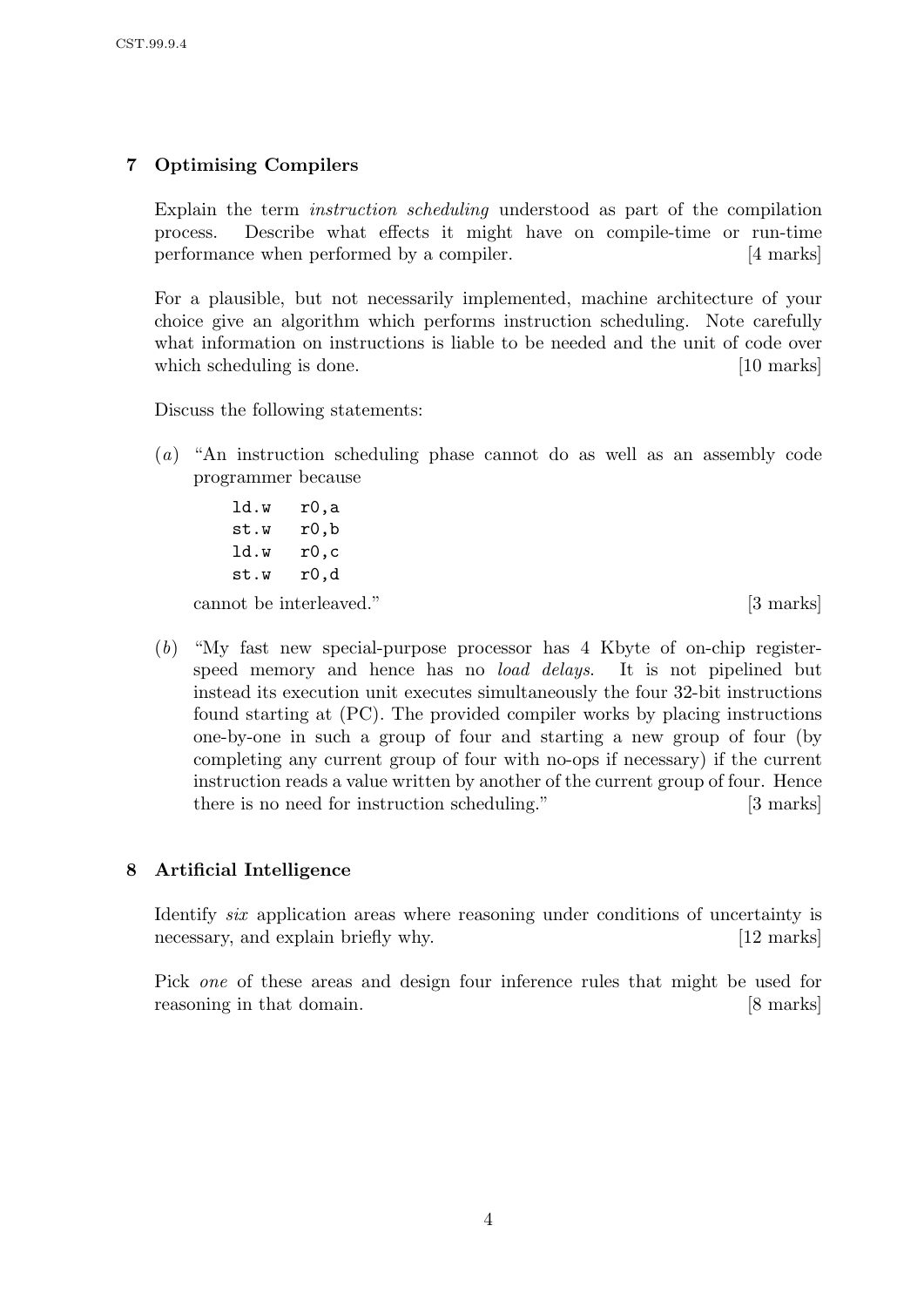# 7 Optimising Compilers

Explain the term instruction scheduling understood as part of the compilation process. Describe what effects it might have on compile-time or run-time performance when performed by a compiler. [4 marks]

For a plausible, but not necessarily implemented, machine architecture of your choice give an algorithm which performs instruction scheduling. Note carefully what information on instructions is liable to be needed and the unit of code over which scheduling is done. [10 marks] which scheduling is done.

Discuss the following statements:

- (a) "An instruction scheduling phase cannot do as well as an assembly code programmer because
	- ld.w r0,a st.w r0,b ld.w r0,c st.w r0,d

cannot be interleaved." [3 marks]

(b) "My fast new special-purpose processor has 4 Kbyte of on-chip registerspeed memory and hence has no *load delays*. It is not pipelined but instead its execution unit executes simultaneously the four 32-bit instructions found starting at (PC). The provided compiler works by placing instructions one-by-one in such a group of four and starting a new group of four (by completing any current group of four with no-ops if necessary) if the current instruction reads a value written by another of the current group of four. Hence there is no need for instruction scheduling." [3 marks]

## 8 Artificial Intelligence

Identify *six* application areas where reasoning under conditions of uncertainty is necessary, and explain briefly why. [12 marks]

Pick one of these areas and design four inference rules that might be used for reasoning in that domain. [8 marks]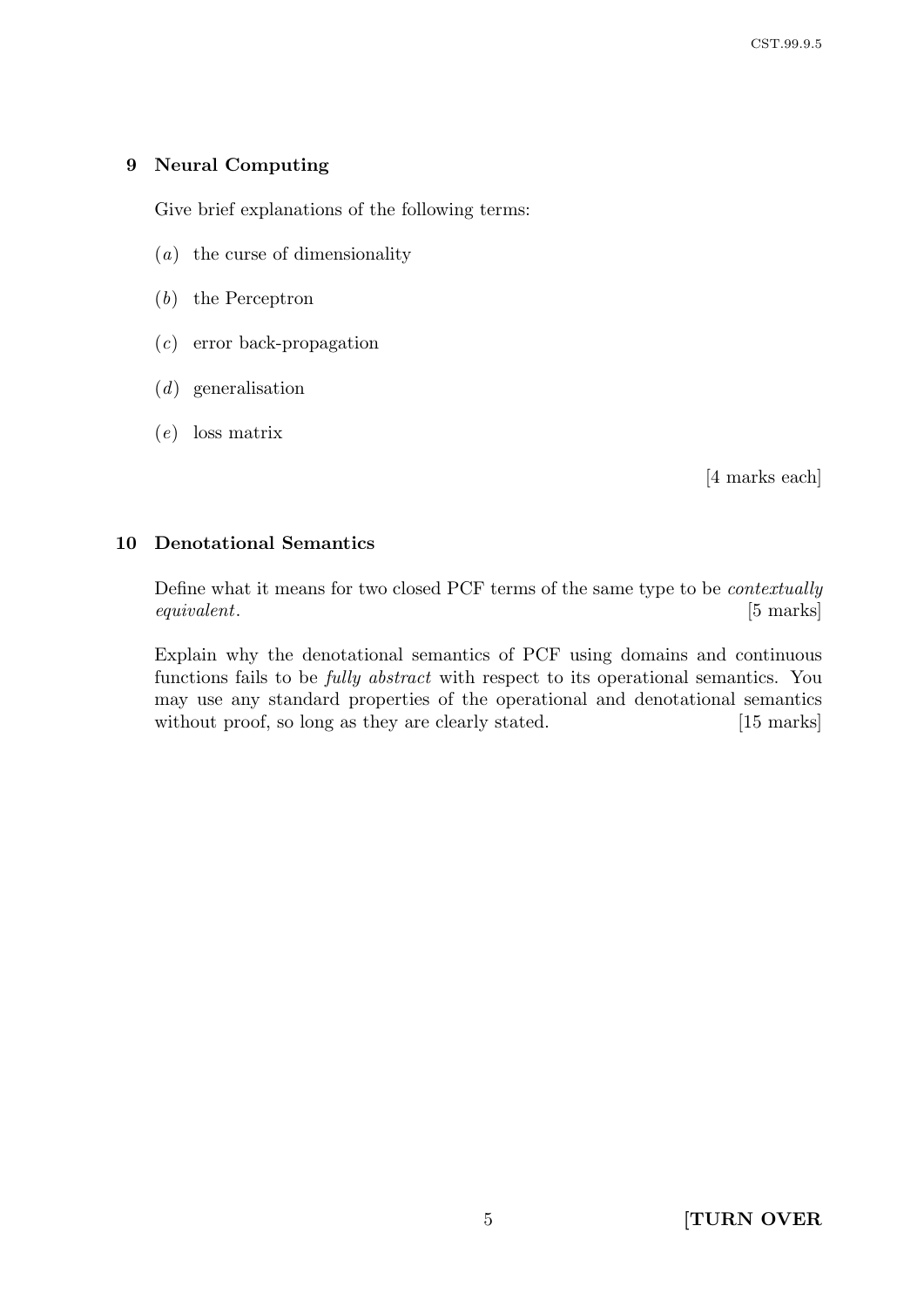### 9 Neural Computing

Give brief explanations of the following terms:

- (a) the curse of dimensionality
- (b) the Perceptron
- (c) error back-propagation
- (d) generalisation
- (e) loss matrix

[4 marks each]

### 10 Denotational Semantics

Define what it means for two closed PCF terms of the same type to be contextually equivalent. [5 marks]

Explain why the denotational semantics of PCF using domains and continuous functions fails to be fully abstract with respect to its operational semantics. You may use any standard properties of the operational and denotational semantics without proof, so long as they are clearly stated. [15 marks]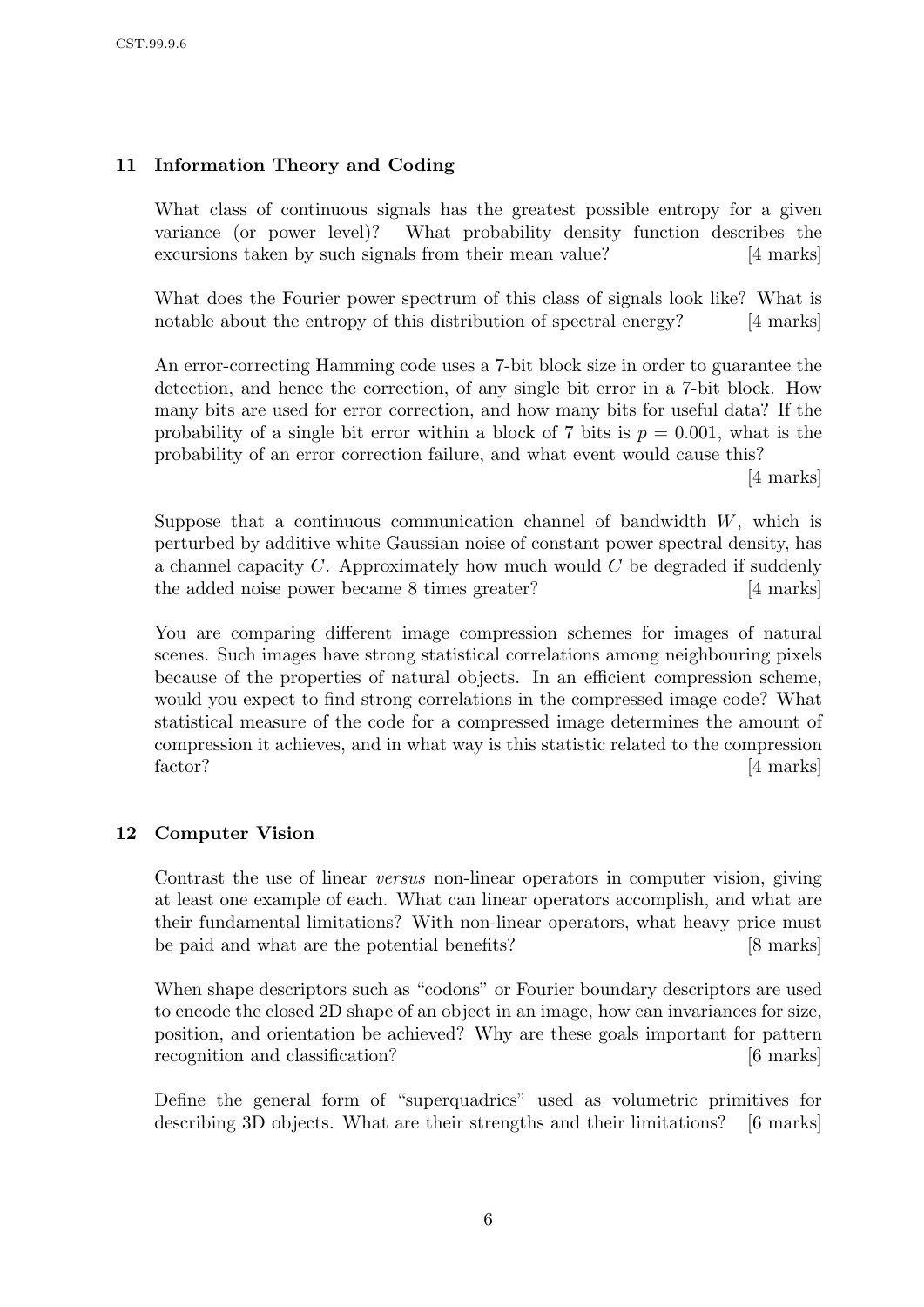# 11 Information Theory and Coding

What class of continuous signals has the greatest possible entropy for a given variance (or power level)? What probability density function describes the excursions taken by such signals from their mean value? [4 marks]

What does the Fourier power spectrum of this class of signals look like? What is notable about the entropy of this distribution of spectral energy? [4 marks]

An error-correcting Hamming code uses a 7-bit block size in order to guarantee the detection, and hence the correction, of any single bit error in a 7-bit block. How many bits are used for error correction, and how many bits for useful data? If the probability of a single bit error within a block of 7 bits is  $p = 0.001$ , what is the probability of an error correction failure, and what event would cause this?

[4 marks]

Suppose that a continuous communication channel of bandwidth  $W$ , which is perturbed by additive white Gaussian noise of constant power spectral density, has a channel capacity  $C$ . Approximately how much would  $C$  be degraded if suddenly the added noise power became 8 times greater? [4 marks]

You are comparing different image compression schemes for images of natural scenes. Such images have strong statistical correlations among neighbouring pixels because of the properties of natural objects. In an efficient compression scheme, would you expect to find strong correlations in the compressed image code? What statistical measure of the code for a compressed image determines the amount of compression it achieves, and in what way is this statistic related to the compression factor? [4 marks]

# 12 Computer Vision

Contrast the use of linear versus non-linear operators in computer vision, giving at least one example of each. What can linear operators accomplish, and what are their fundamental limitations? With non-linear operators, what heavy price must be paid and what are the potential benefits? [8 marks]

When shape descriptors such as "codons" or Fourier boundary descriptors are used to encode the closed 2D shape of an object in an image, how can invariances for size, position, and orientation be achieved? Why are these goals important for pattern recognition and classification? [6 marks]

Define the general form of "superquadrics" used as volumetric primitives for describing 3D objects. What are their strengths and their limitations? [6 marks]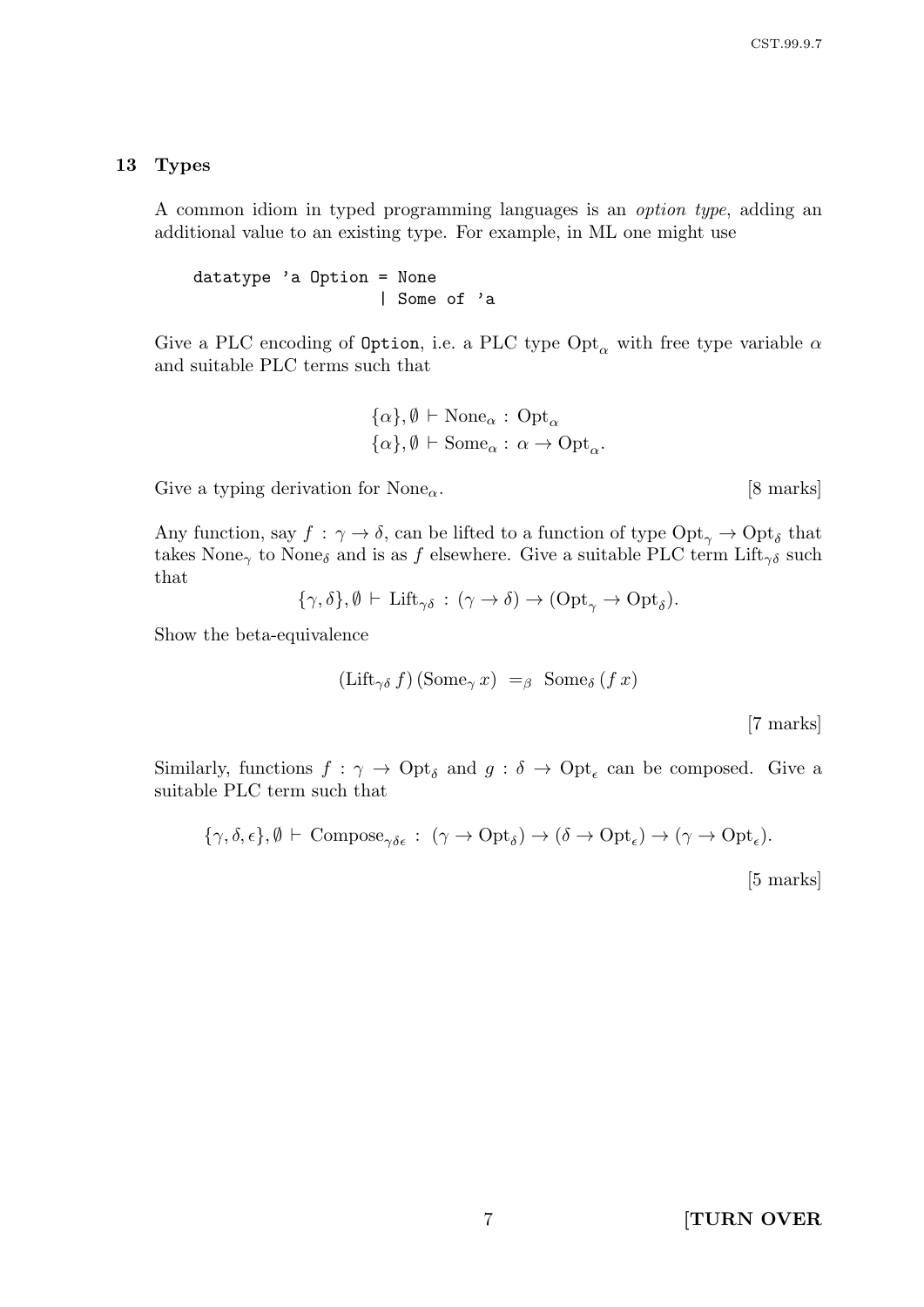#### 13 Types

A common idiom in typed programming languages is an option type, adding an additional value to an existing type. For example, in ML one might use

datatype 'a Option = None | Some of 'a

Give a PLC encoding of Option, i.e. a PLC type Opt<sub> $\alpha$ </sub> with free type variable  $\alpha$ and suitable PLC terms such that

$$
\{\alpha\}, \emptyset \vdash \text{None}_{\alpha} : \text{Opt}_{\alpha} \{\alpha\}, \emptyset \vdash \text{Some}_{\alpha} : \alpha \to \text{Opt}_{\alpha}.
$$

Give a typing derivation for None<sub> $\alpha$ </sub>. [8 marks]

Any function, say  $f: \gamma \to \delta$ , can be lifted to a function of type  $\text{Opt}_{\gamma} \to \text{Opt}_{\delta}$  that takes None<sub>γ</sub> to None<sub>δ</sub> and is as f elsewhere. Give a suitable PLC term Lift<sub>γδ</sub> such that

$$
\{\gamma,\delta\},\emptyset \vdash \mathrm{Lift}_{\gamma\delta} : (\gamma \to \delta) \to (\mathrm{Opt}_{\gamma} \to \mathrm{Opt}_{\delta}).
$$

Show the beta-equivalence

$$
(\text{Lift}_{\gamma\delta} f)(\text{Some}_{\gamma} x) =_{\beta} \text{Some}_{\delta} (f x)
$$

[7 marks]

Similarly, functions  $f: \gamma \to \mathrm{Opt}_{\delta}$  and  $g: \delta \to \mathrm{Opt}_{\epsilon}$  can be composed. Give a suitable PLC term such that

$$
\{\gamma,\delta,\epsilon\},\emptyset \vdash \text{Compose}_{\gamma\delta\epsilon} : (\gamma \to \text{Opt}_{\delta}) \to (\delta \to \text{Opt}_{\epsilon}) \to (\gamma \to \text{Opt}_{\epsilon}).
$$

[5 marks]